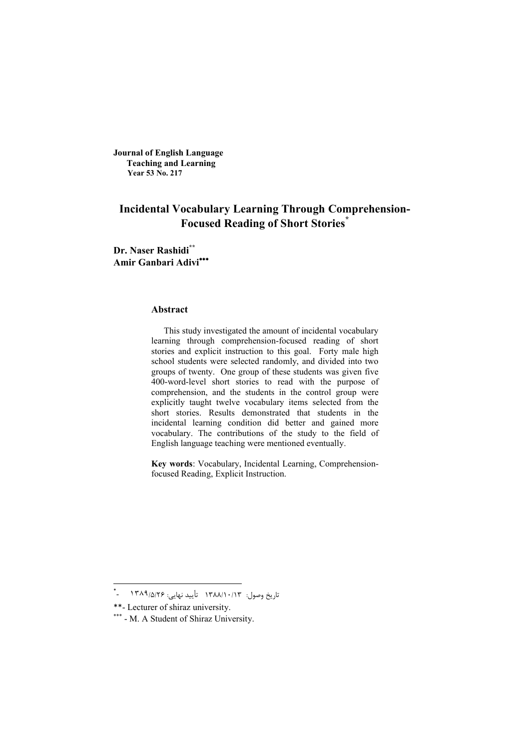**Journal of English Language Teaching and Learning Year 53 No. 217**

# **Incidental Vocabulary Learning Through Comprehension-Focused Reading of Short Stories\***

**Dr. Naser Rashidi\*\* Amir Ganbari Adivi**

### **Abstract**

This study investigated the amount of incidental vocabulary learning through comprehension-focused reading of short stories and explicit instruction to this goal. Forty male high school students were selected randomly, and divided into two groups of twenty. One group of these students was given five 400-word-level short stories to read with the purpose of comprehension, and the students in the control group were explicitly taught twelve vocabulary items selected from the short stories. Results demonstrated that students in the incidental learning condition did better and gained more vocabulary. The contributions of the study to the field of English language teaching were mentioned eventually.

**Key words**: Vocabulary, Incidental Learning, Comprehensionfocused Reading, Explicit Instruction.

 \* تاریخ وصول: 1388/10/13 تأیید نهایی: 26 /5/ ١٣٨٩ -

<sup>\*\*</sup>- Lecturer of shiraz university.

<sup>\*\*\* -</sup> M. A Student of Shiraz University.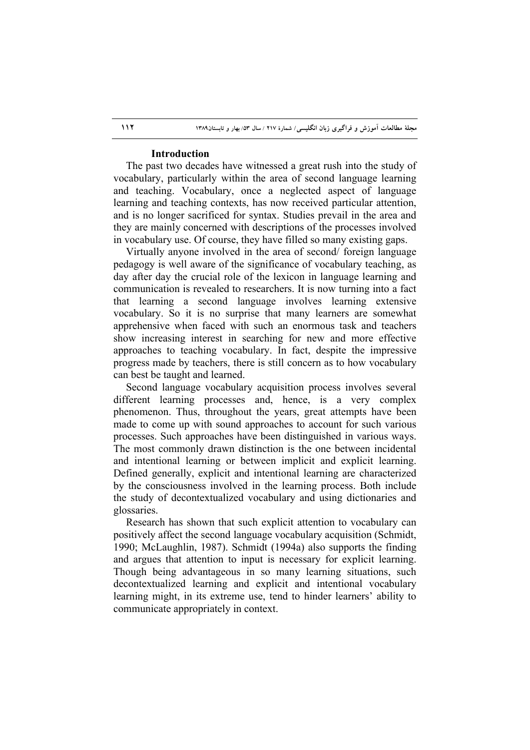### **Introduction**

The past two decades have witnessed a great rush into the study of vocabulary, particularly within the area of second language learning and teaching. Vocabulary, once a neglected aspect of language learning and teaching contexts, has now received particular attention, and is no longer sacrificed for syntax. Studies prevail in the area and they are mainly concerned with descriptions of the processes involved in vocabulary use. Of course, they have filled so many existing gaps.

Virtually anyone involved in the area of second/ foreign language pedagogy is well aware of the significance of vocabulary teaching, as day after day the crucial role of the lexicon in language learning and communication is revealed to researchers. It is now turning into a fact that learning a second language involves learning extensive vocabulary. So it is no surprise that many learners are somewhat apprehensive when faced with such an enormous task and teachers show increasing interest in searching for new and more effective approaches to teaching vocabulary. In fact, despite the impressive progress made by teachers, there is still concern as to how vocabulary can best be taught and learned.

Second language vocabulary acquisition process involves several different learning processes and, hence, is a very complex phenomenon. Thus, throughout the years, great attempts have been made to come up with sound approaches to account for such various processes. Such approaches have been distinguished in various ways. The most commonly drawn distinction is the one between incidental and intentional learning or between implicit and explicit learning. Defined generally, explicit and intentional learning are characterized by the consciousness involved in the learning process. Both include the study of decontextualized vocabulary and using dictionaries and glossaries.

Research has shown that such explicit attention to vocabulary can positively affect the second language vocabulary acquisition (Schmidt, 1990; McLaughlin, 1987). Schmidt (1994a) also supports the finding and argues that attention to input is necessary for explicit learning. Though being advantageous in so many learning situations, such decontextualized learning and explicit and intentional vocabulary learning might, in its extreme use, tend to hinder learners' ability to communicate appropriately in context.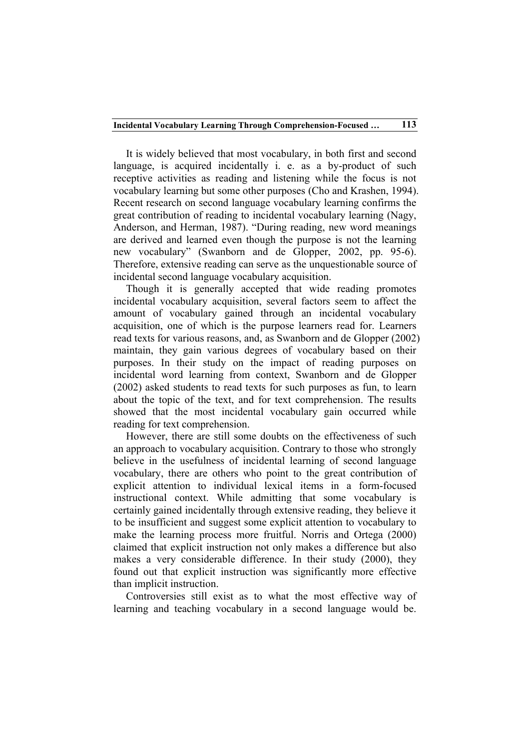It is widely believed that most vocabulary, in both first and second language, is acquired incidentally i. e. as a by-product of such receptive activities as reading and listening while the focus is not vocabulary learning but some other purposes (Cho and Krashen, 1994). Recent research on second language vocabulary learning confirms the great contribution of reading to incidental vocabulary learning (Nagy, Anderson, and Herman, 1987). "During reading, new word meanings are derived and learned even though the purpose is not the learning new vocabulary" (Swanborn and de Glopper, 2002, pp. 95-6). Therefore, extensive reading can serve as the unquestionable source of incidental second language vocabulary acquisition.

Though it is generally accepted that wide reading promotes incidental vocabulary acquisition, several factors seem to affect the amount of vocabulary gained through an incidental vocabulary acquisition, one of which is the purpose learners read for. Learners read texts for various reasons, and, as Swanborn and de Glopper (2002) maintain, they gain various degrees of vocabulary based on their purposes. In their study on the impact of reading purposes on incidental word learning from context, Swanborn and de Glopper (2002) asked students to read texts for such purposes as fun, to learn about the topic of the text, and for text comprehension. The results showed that the most incidental vocabulary gain occurred while reading for text comprehension.

However, there are still some doubts on the effectiveness of such an approach to vocabulary acquisition. Contrary to those who strongly believe in the usefulness of incidental learning of second language vocabulary, there are others who point to the great contribution of explicit attention to individual lexical items in a form-focused instructional context. While admitting that some vocabulary is certainly gained incidentally through extensive reading, they believe it to be insufficient and suggest some explicit attention to vocabulary to make the learning process more fruitful. Norris and Ortega (2000) claimed that explicit instruction not only makes a difference but also makes a very considerable difference. In their study (2000), they found out that explicit instruction was significantly more effective than implicit instruction.

Controversies still exist as to what the most effective way of learning and teaching vocabulary in a second language would be.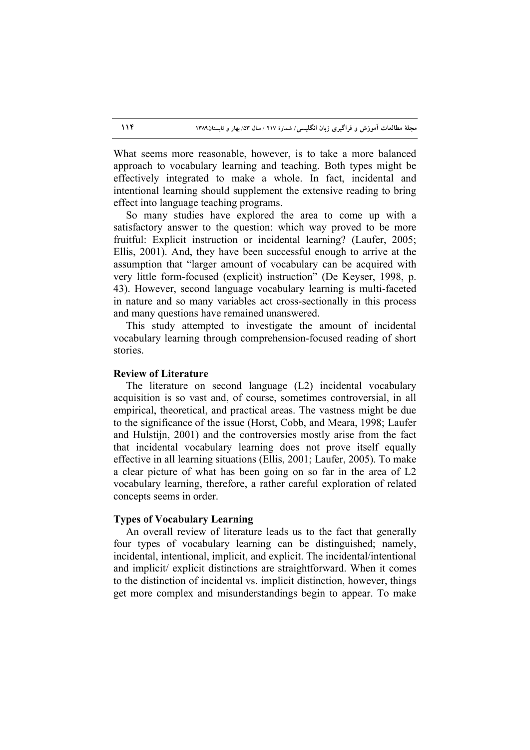What seems more reasonable, however, is to take a more balanced approach to vocabulary learning and teaching. Both types might be effectively integrated to make a whole. In fact, incidental and intentional learning should supplement the extensive reading to bring effect into language teaching programs.

So many studies have explored the area to come up with a satisfactory answer to the question: which way proved to be more fruitful: Explicit instruction or incidental learning? (Laufer, 2005; Ellis, 2001). And, they have been successful enough to arrive at the assumption that "larger amount of vocabulary can be acquired with very little form-focused (explicit) instruction" (De Keyser, 1998, p. 43). However, second language vocabulary learning is multi-faceted in nature and so many variables act cross-sectionally in this process and many questions have remained unanswered.

This study attempted to investigate the amount of incidental vocabulary learning through comprehension-focused reading of short stories.

# **Review of Literature**

The literature on second language (L2) incidental vocabulary acquisition is so vast and, of course, sometimes controversial, in all empirical, theoretical, and practical areas. The vastness might be due to the significance of the issue (Horst, Cobb, and Meara, 1998; Laufer and Hulstijn, 2001) and the controversies mostly arise from the fact that incidental vocabulary learning does not prove itself equally effective in all learning situations (Ellis, 2001; Laufer, 2005). To make a clear picture of what has been going on so far in the area of L2 vocabulary learning, therefore, a rather careful exploration of related concepts seems in order.

### **Types of Vocabulary Learning**

An overall review of literature leads us to the fact that generally four types of vocabulary learning can be distinguished; namely, incidental, intentional, implicit, and explicit. The incidental/intentional and implicit/ explicit distinctions are straightforward. When it comes to the distinction of incidental vs. implicit distinction, however, things get more complex and misunderstandings begin to appear. To make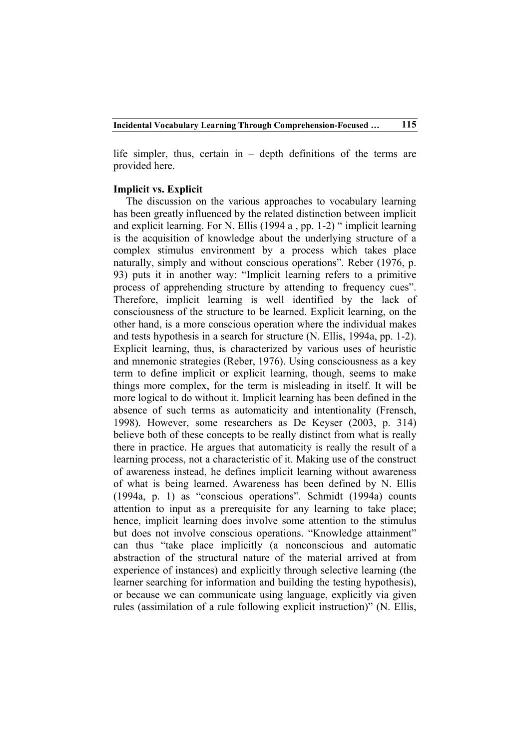life simpler, thus, certain in – depth definitions of the terms are provided here.

### **Implicit vs. Explicit**

The discussion on the various approaches to vocabulary learning has been greatly influenced by the related distinction between implicit and explicit learning. For N. Ellis (1994 a , pp. 1-2) " implicit learning is the acquisition of knowledge about the underlying structure of a complex stimulus environment by a process which takes place naturally, simply and without conscious operations". Reber (1976, p. 93) puts it in another way: "Implicit learning refers to a primitive process of apprehending structure by attending to frequency cues". Therefore, implicit learning is well identified by the lack of consciousness of the structure to be learned. Explicit learning, on the other hand, is a more conscious operation where the individual makes and tests hypothesis in a search for structure (N. Ellis, 1994a, pp. 1-2). Explicit learning, thus, is characterized by various uses of heuristic and mnemonic strategies (Reber, 1976). Using consciousness as a key term to define implicit or explicit learning, though, seems to make things more complex, for the term is misleading in itself. It will be more logical to do without it. Implicit learning has been defined in the absence of such terms as automaticity and intentionality (Frensch, 1998). However, some researchers as De Keyser (2003, p. 314) believe both of these concepts to be really distinct from what is really there in practice. He argues that automaticity is really the result of a learning process, not a characteristic of it. Making use of the construct of awareness instead, he defines implicit learning without awareness of what is being learned. Awareness has been defined by N. Ellis (1994a, p. 1) as "conscious operations". Schmidt (1994a) counts attention to input as a prerequisite for any learning to take place; hence, implicit learning does involve some attention to the stimulus but does not involve conscious operations. "Knowledge attainment" can thus "take place implicitly (a nonconscious and automatic abstraction of the structural nature of the material arrived at from experience of instances) and explicitly through selective learning (the learner searching for information and building the testing hypothesis), or because we can communicate using language, explicitly via given rules (assimilation of a rule following explicit instruction)" (N. Ellis,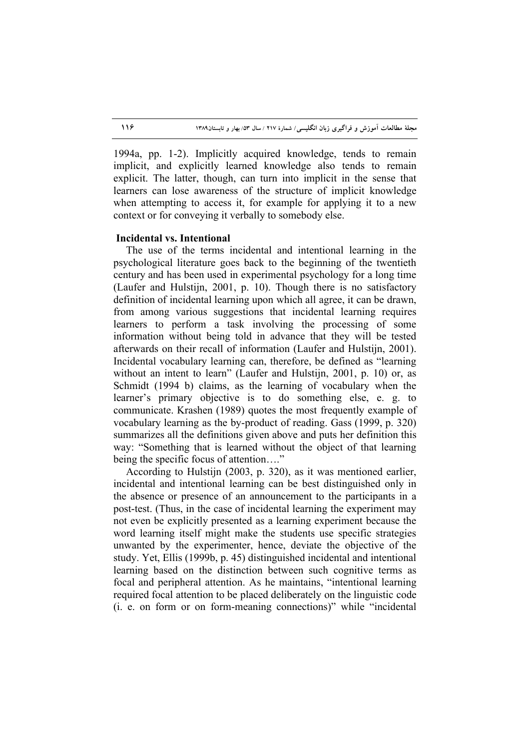1994a, pp. 1-2). Implicitly acquired knowledge, tends to remain implicit, and explicitly learned knowledge also tends to remain explicit. The latter, though, can turn into implicit in the sense that learners can lose awareness of the structure of implicit knowledge when attempting to access it, for example for applying it to a new context or for conveying it verbally to somebody else.

# **Incidental vs. Intentional**

The use of the terms incidental and intentional learning in the psychological literature goes back to the beginning of the twentieth century and has been used in experimental psychology for a long time (Laufer and Hulstijn, 2001, p. 10). Though there is no satisfactory definition of incidental learning upon which all agree, it can be drawn, from among various suggestions that incidental learning requires learners to perform a task involving the processing of some information without being told in advance that they will be tested afterwards on their recall of information (Laufer and Hulstijn, 2001). Incidental vocabulary learning can, therefore, be defined as "learning without an intent to learn" (Laufer and Hulstijn, 2001, p. 10) or, as Schmidt (1994 b) claims, as the learning of vocabulary when the learner's primary objective is to do something else, e. g. to communicate. Krashen (1989) quotes the most frequently example of vocabulary learning as the by-product of reading. Gass (1999, p. 320) summarizes all the definitions given above and puts her definition this way: "Something that is learned without the object of that learning being the specific focus of attention...."

According to Hulstijn (2003, p. 320), as it was mentioned earlier, incidental and intentional learning can be best distinguished only in the absence or presence of an announcement to the participants in a post-test. (Thus, in the case of incidental learning the experiment may not even be explicitly presented as a learning experiment because the word learning itself might make the students use specific strategies unwanted by the experimenter, hence, deviate the objective of the study. Yet, Ellis (1999b, p. 45) distinguished incidental and intentional learning based on the distinction between such cognitive terms as focal and peripheral attention. As he maintains, "intentional learning required focal attention to be placed deliberately on the linguistic code (i. e. on form or on form-meaning connections)" while "incidental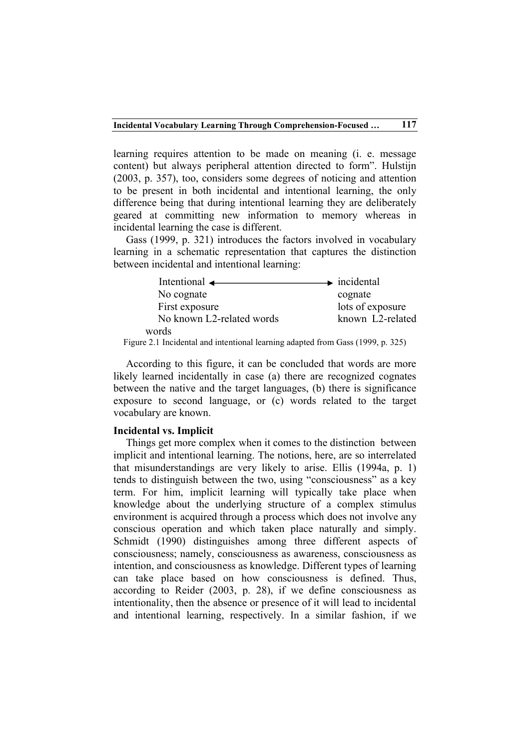learning requires attention to be made on meaning (i. e. message content) but always peripheral attention directed to form". Hulstijn (2003, p. 357), too, considers some degrees of noticing and attention to be present in both incidental and intentional learning, the only difference being that during intentional learning they are deliberately geared at committing new information to memory whereas in incidental learning the case is different.

Gass (1999, p. 321) introduces the factors involved in vocabulary learning in a schematic representation that captures the distinction between incidental and intentional learning:

| Intentional $\leftarrow$  | $\rightarrow$ incidental |  |  |
|---------------------------|--------------------------|--|--|
| No cognate                | cognate                  |  |  |
| First exposure            | lots of exposure         |  |  |
| No known L2-related words | known L2-related         |  |  |
| words                     |                          |  |  |

Figure 2.1 Incidental and intentional learning adapted from Gass (1999, p. 325)

According to this figure, it can be concluded that words are more likely learned incidentally in case (a) there are recognized cognates between the native and the target languages, (b) there is significance exposure to second language, or (c) words related to the target vocabulary are known.

#### **Incidental vs. Implicit**

Things get more complex when it comes to the distinction between implicit and intentional learning. The notions, here, are so interrelated that misunderstandings are very likely to arise. Ellis (1994a, p. 1) tends to distinguish between the two, using "consciousness" as a key term. For him, implicit learning will typically take place when knowledge about the underlying structure of a complex stimulus environment is acquired through a process which does not involve any conscious operation and which taken place naturally and simply. Schmidt (1990) distinguishes among three different aspects of consciousness; namely, consciousness as awareness, consciousness as intention, and consciousness as knowledge. Different types of learning can take place based on how consciousness is defined. Thus, according to Reider (2003, p. 28), if we define consciousness as intentionality, then the absence or presence of it will lead to incidental and intentional learning, respectively. In a similar fashion, if we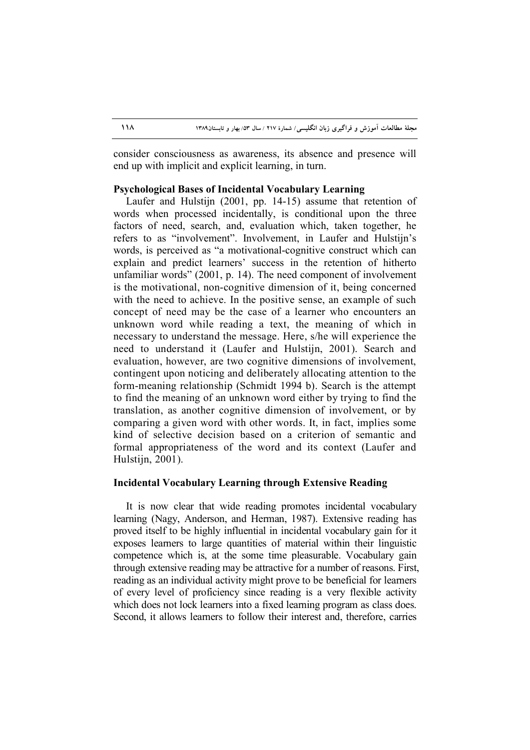consider consciousness as awareness, its absence and presence will end up with implicit and explicit learning, in turn.

# **Psychological Bases of Incidental Vocabulary Learning**

Laufer and Hulstijn (2001, pp. 14-15) assume that retention of words when processed incidentally, is conditional upon the three factors of need, search, and, evaluation which, taken together, he refers to as "involvement". Involvement, in Laufer and Hulstijn's words, is perceived as "a motivational-cognitive construct which can explain and predict learners' success in the retention of hitherto unfamiliar words" (2001, p. 14). The need component of involvement is the motivational, non-cognitive dimension of it, being concerned with the need to achieve. In the positive sense, an example of such concept of need may be the case of a learner who encounters an unknown word while reading a text, the meaning of which in necessary to understand the message. Here, s/he will experience the need to understand it (Laufer and Hulstijn, 2001). Search and evaluation, however, are two cognitive dimensions of involvement, contingent upon noticing and deliberately allocating attention to the form-meaning relationship (Schmidt 1994 b). Search is the attempt to find the meaning of an unknown word either by trying to find the translation, as another cognitive dimension of involvement, or by comparing a given word with other words. It, in fact, implies some kind of selective decision based on a criterion of semantic and formal appropriateness of the word and its context (Laufer and Hulstijn, 2001).

# **Incidental Vocabulary Learning through Extensive Reading**

It is now clear that wide reading promotes incidental vocabulary learning (Nagy, Anderson, and Herman, 1987). Extensive reading has proved itself to be highly influential in incidental vocabulary gain for it exposes learners to large quantities of material within their linguistic competence which is, at the some time pleasurable. Vocabulary gain through extensive reading may be attractive for a number of reasons. First, reading as an individual activity might prove to be beneficial for learners of every level of proficiency since reading is a very flexible activity which does not lock learners into a fixed learning program as class does. Second, it allows learners to follow their interest and, therefore, carries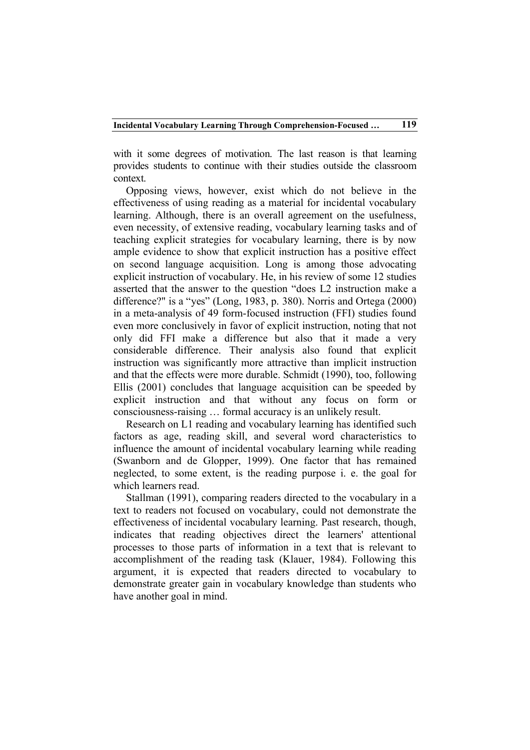with it some degrees of motivation. The last reason is that learning provides students to continue with their studies outside the classroom context.

Opposing views, however, exist which do not believe in the effectiveness of using reading as a material for incidental vocabulary learning. Although, there is an overall agreement on the usefulness, even necessity, of extensive reading, vocabulary learning tasks and of teaching explicit strategies for vocabulary learning, there is by now ample evidence to show that explicit instruction has a positive effect on second language acquisition. Long is among those advocating explicit instruction of vocabulary. He, in his review of some 12 studies asserted that the answer to the question "does L2 instruction make a difference?" is a "yes" (Long, 1983, p. 380). Norris and Ortega (2000) in a meta-analysis of 49 form-focused instruction (FFI) studies found even more conclusively in favor of explicit instruction, noting that not only did FFI make a difference but also that it made a very considerable difference. Their analysis also found that explicit instruction was significantly more attractive than implicit instruction and that the effects were more durable. Schmidt (1990), too, following Ellis (2001) concludes that language acquisition can be speeded by explicit instruction and that without any focus on form or consciousness-raising … formal accuracy is an unlikely result.

Research on L1 reading and vocabulary learning has identified such factors as age, reading skill, and several word characteristics to influence the amount of incidental vocabulary learning while reading (Swanborn and de Glopper, 1999). One factor that has remained neglected, to some extent, is the reading purpose i. e. the goal for which learners read.

Stallman (1991), comparing readers directed to the vocabulary in a text to readers not focused on vocabulary, could not demonstrate the effectiveness of incidental vocabulary learning. Past research, though, indicates that reading objectives direct the learners' attentional processes to those parts of information in a text that is relevant to accomplishment of the reading task (Klauer, 1984). Following this argument, it is expected that readers directed to vocabulary to demonstrate greater gain in vocabulary knowledge than students who have another goal in mind.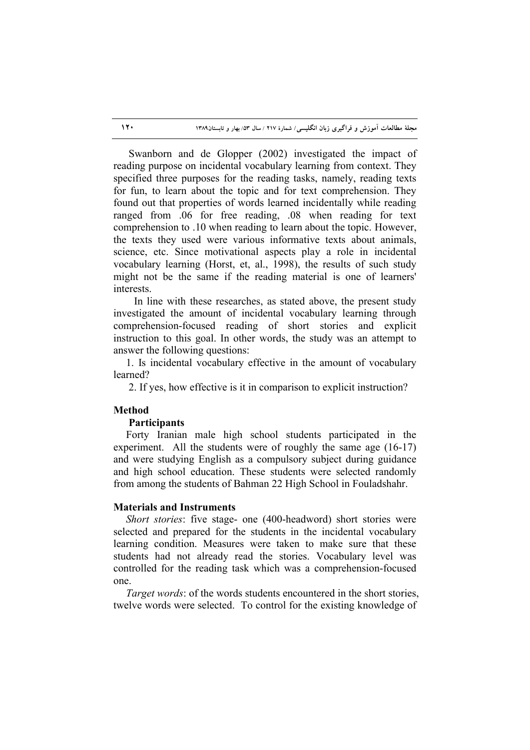Swanborn and de Glopper (2002) investigated the impact of reading purpose on incidental vocabulary learning from context. They specified three purposes for the reading tasks, namely, reading texts for fun, to learn about the topic and for text comprehension. They found out that properties of words learned incidentally while reading ranged from .06 for free reading, .08 when reading for text comprehension to .10 when reading to learn about the topic. However, the texts they used were various informative texts about animals, science, etc. Since motivational aspects play a role in incidental vocabulary learning (Horst, et, al., 1998), the results of such study might not be the same if the reading material is one of learners' interests.

 In line with these researches, as stated above, the present study investigated the amount of incidental vocabulary learning through comprehension-focused reading of short stories and explicit instruction to this goal. In other words, the study was an attempt to answer the following questions:

1. Is incidental vocabulary effective in the amount of vocabulary learned?

2. If yes, how effective is it in comparison to explicit instruction?

## **Method**

#### **Participants**

Forty Iranian male high school students participated in the experiment. All the students were of roughly the same age (16-17) and were studying English as a compulsory subject during guidance and high school education. These students were selected randomly from among the students of Bahman 22 High School in Fouladshahr.

### **Materials and Instruments**

*Short stories*: five stage- one (400-headword) short stories were selected and prepared for the students in the incidental vocabulary learning condition. Measures were taken to make sure that these students had not already read the stories. Vocabulary level was controlled for the reading task which was a comprehension-focused one.

*Target words*: of the words students encountered in the short stories, twelve words were selected. To control for the existing knowledge of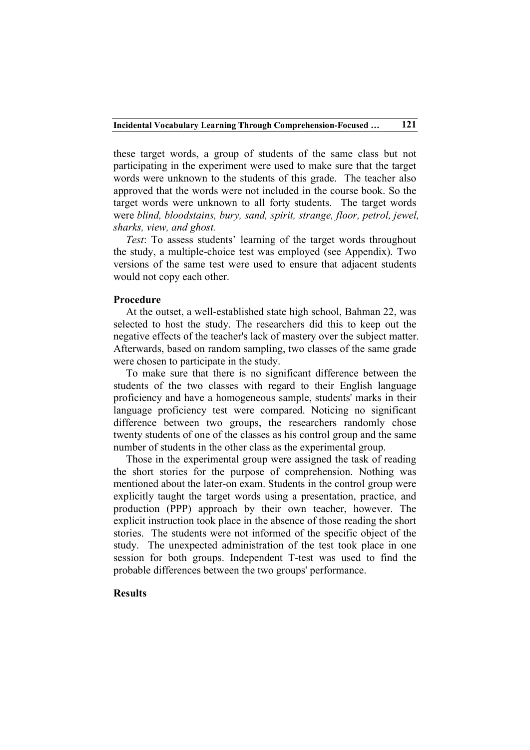these target words, a group of students of the same class but not participating in the experiment were used to make sure that the target words were unknown to the students of this grade. The teacher also approved that the words were not included in the course book. So the target words were unknown to all forty students. The target words were *blind, bloodstains, bury, sand, spirit, strange, floor, petrol, jewel, sharks, view, and ghost.*

*Test*: To assess students' learning of the target words throughout the study, a multiple-choice test was employed (see Appendix). Two versions of the same test were used to ensure that adjacent students would not copy each other.

### **Procedure**

At the outset, a well-established state high school, Bahman 22, was selected to host the study. The researchers did this to keep out the negative effects of the teacher's lack of mastery over the subject matter. Afterwards, based on random sampling, two classes of the same grade were chosen to participate in the study.

To make sure that there is no significant difference between the students of the two classes with regard to their English language proficiency and have a homogeneous sample, students' marks in their language proficiency test were compared. Noticing no significant difference between two groups, the researchers randomly chose twenty students of one of the classes as his control group and the same number of students in the other class as the experimental group.

Those in the experimental group were assigned the task of reading the short stories for the purpose of comprehension. Nothing was mentioned about the later-on exam. Students in the control group were explicitly taught the target words using a presentation, practice, and production (PPP) approach by their own teacher, however. The explicit instruction took place in the absence of those reading the short stories. The students were not informed of the specific object of the study. The unexpected administration of the test took place in one session for both groups. Independent T-test was used to find the probable differences between the two groups' performance.

# **Results**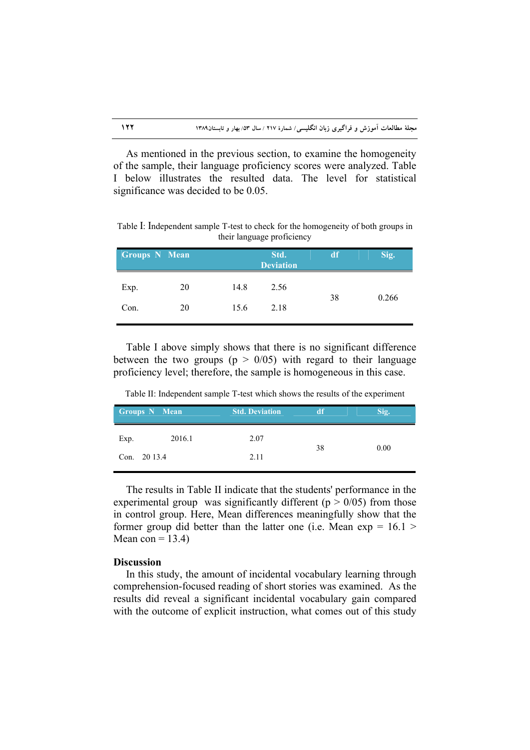As mentioned in the previous section, to examine the homogeneity of the sample, their language proficiency scores were analyzed. Table I below illustrates the resulted data. The level for statistical significance was decided to be 0.05.

Table I: Independent sample T-test to check for the homogeneity of both groups in their language proficiency

|      | <b>Groups N Mean</b> |      | Std.<br><b>Deviation</b> | df | Sig.  |
|------|----------------------|------|--------------------------|----|-------|
| Exp. | 20                   | 14.8 | 2.56                     |    | 0.266 |
| Con. | 20                   | 15.6 | 2.18                     | 38 |       |

Table I above simply shows that there is no significant difference between the two groups ( $p > 0/05$ ) with regard to their language proficiency level; therefore, the sample is homogeneous in this case.

Table II: Independent sample T-test which shows the results of the experiment

| Groups N Mean |        | <b>Std. Deviation</b> | df | Sig. |
|---------------|--------|-----------------------|----|------|
| Exp.          | 2016.1 | 2.07                  | 38 | 0.00 |
| Con. 20 13.4  |        | 2.11                  |    |      |

The results in Table II indicate that the students' performance in the experimental group was significantly different ( $p > 0/05$ ) from those in control group. Here, Mean differences meaningfully show that the former group did better than the latter one (i.e. Mean  $\exp = 16.1$ ) Mean con  $= 13.4$ )

# **Discussion**

In this study, the amount of incidental vocabulary learning through comprehension-focused reading of short stories was examined. As the results did reveal a significant incidental vocabulary gain compared with the outcome of explicit instruction, what comes out of this study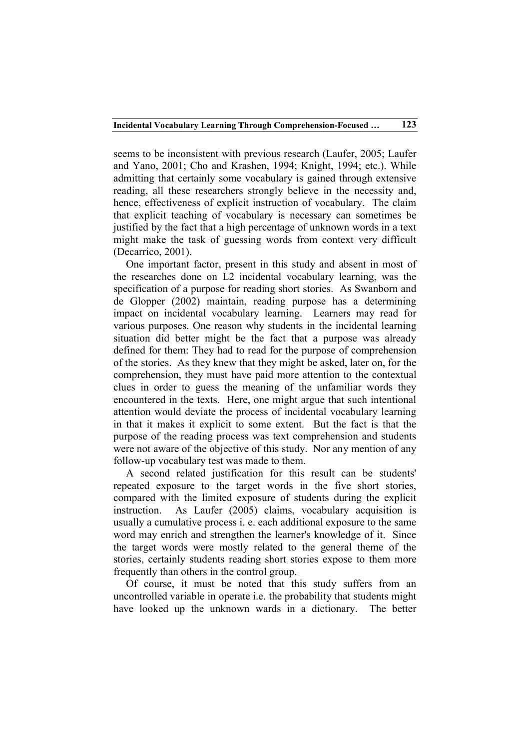seems to be inconsistent with previous research (Laufer, 2005; Laufer and Yano, 2001; Cho and Krashen, 1994; Knight, 1994; etc.). While admitting that certainly some vocabulary is gained through extensive reading, all these researchers strongly believe in the necessity and, hence, effectiveness of explicit instruction of vocabulary. The claim that explicit teaching of vocabulary is necessary can sometimes be justified by the fact that a high percentage of unknown words in a text might make the task of guessing words from context very difficult (Decarrico, 2001).

One important factor, present in this study and absent in most of the researches done on L2 incidental vocabulary learning, was the specification of a purpose for reading short stories. As Swanborn and de Glopper (2002) maintain, reading purpose has a determining impact on incidental vocabulary learning. Learners may read for various purposes. One reason why students in the incidental learning situation did better might be the fact that a purpose was already defined for them: They had to read for the purpose of comprehension of the stories. As they knew that they might be asked, later on, for the comprehension, they must have paid more attention to the contextual clues in order to guess the meaning of the unfamiliar words they encountered in the texts. Here, one might argue that such intentional attention would deviate the process of incidental vocabulary learning in that it makes it explicit to some extent. But the fact is that the purpose of the reading process was text comprehension and students were not aware of the objective of this study. Nor any mention of any follow-up vocabulary test was made to them.

A second related justification for this result can be students' repeated exposure to the target words in the five short stories, compared with the limited exposure of students during the explicit instruction. As Laufer (2005) claims, vocabulary acquisition is usually a cumulative process i. e. each additional exposure to the same word may enrich and strengthen the learner's knowledge of it. Since the target words were mostly related to the general theme of the stories, certainly students reading short stories expose to them more frequently than others in the control group.

Of course, it must be noted that this study suffers from an uncontrolled variable in operate i.e. the probability that students might have looked up the unknown wards in a dictionary. The better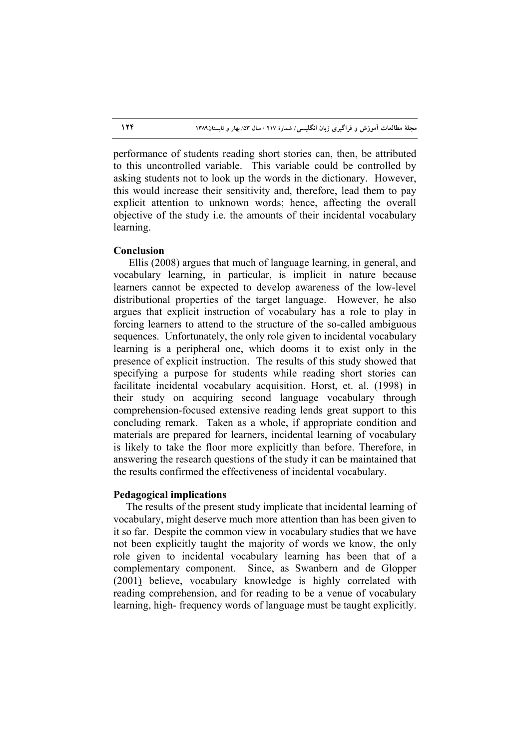performance of students reading short stories can, then, be attributed to this uncontrolled variable. This variable could be controlled by asking students not to look up the words in the dictionary. However, this would increase their sensitivity and, therefore, lead them to pay explicit attention to unknown words; hence, affecting the overall objective of the study i.e. the amounts of their incidental vocabulary learning.

# **Conclusion**

Ellis (2008) argues that much of language learning, in general, and vocabulary learning, in particular, is implicit in nature because learners cannot be expected to develop awareness of the low-level distributional properties of the target language. However, he also argues that explicit instruction of vocabulary has a role to play in forcing learners to attend to the structure of the so-called ambiguous sequences. Unfortunately, the only role given to incidental vocabulary learning is a peripheral one, which dooms it to exist only in the presence of explicit instruction. The results of this study showed that specifying a purpose for students while reading short stories can facilitate incidental vocabulary acquisition. Horst, et. al. (1998) in their study on acquiring second language vocabulary through comprehension-focused extensive reading lends great support to this concluding remark. Taken as a whole, if appropriate condition and materials are prepared for learners, incidental learning of vocabulary is likely to take the floor more explicitly than before. Therefore, in answering the research questions of the study it can be maintained that the results confirmed the effectiveness of incidental vocabulary.

### **Pedagogical implications**

The results of the present study implicate that incidental learning of vocabulary, might deserve much more attention than has been given to it so far. Despite the common view in vocabulary studies that we have not been explicitly taught the majority of words we know, the only role given to incidental vocabulary learning has been that of a complementary component. Since, as Swanbern and de Glopper (2001) believe, vocabulary knowledge is highly correlated with reading comprehension, and for reading to be a venue of vocabulary learning, high- frequency words of language must be taught explicitly.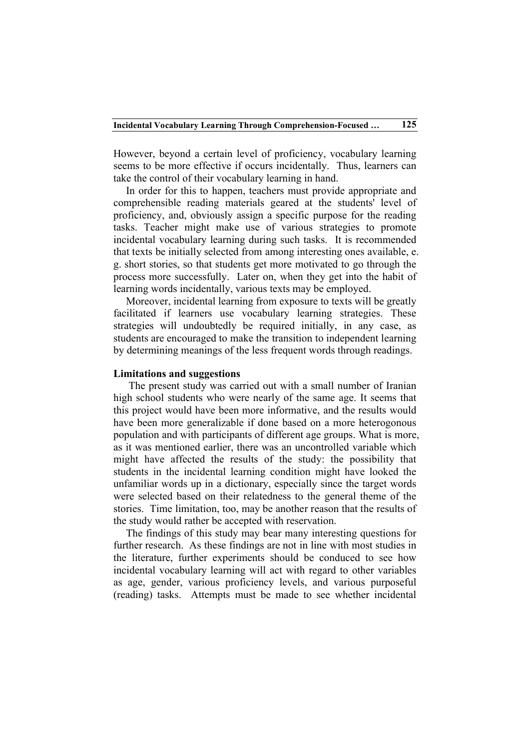However, beyond a certain level of proficiency, vocabulary learning seems to be more effective if occurs incidentally. Thus, learners can take the control of their vocabulary learning in hand.

In order for this to happen, teachers must provide appropriate and comprehensible reading materials geared at the students' level of proficiency, and, obviously assign a specific purpose for the reading tasks. Teacher might make use of various strategies to promote incidental vocabulary learning during such tasks. It is recommended that texts be initially selected from among interesting ones available, e. g. short stories, so that students get more motivated to go through the process more successfully. Later on, when they get into the habit of learning words incidentally, various texts may be employed.

Moreover, incidental learning from exposure to texts will be greatly facilitated if learners use vocabulary learning strategies. These strategies will undoubtedly be required initially, in any case, as students are encouraged to make the transition to independent learning by determining meanings of the less frequent words through readings.

# **Limitations and suggestions**

 The present study was carried out with a small number of Iranian high school students who were nearly of the same age. It seems that this project would have been more informative, and the results would have been more generalizable if done based on a more heterogonous population and with participants of different age groups. What is more, as it was mentioned earlier, there was an uncontrolled variable which might have affected the results of the study: the possibility that students in the incidental learning condition might have looked the unfamiliar words up in a dictionary, especially since the target words were selected based on their relatedness to the general theme of the stories. Time limitation, too, may be another reason that the results of the study would rather be accepted with reservation.

The findings of this study may bear many interesting questions for further research. As these findings are not in line with most studies in the literature, further experiments should be conduced to see how incidental vocabulary learning will act with regard to other variables as age, gender, various proficiency levels, and various purposeful (reading) tasks. Attempts must be made to see whether incidental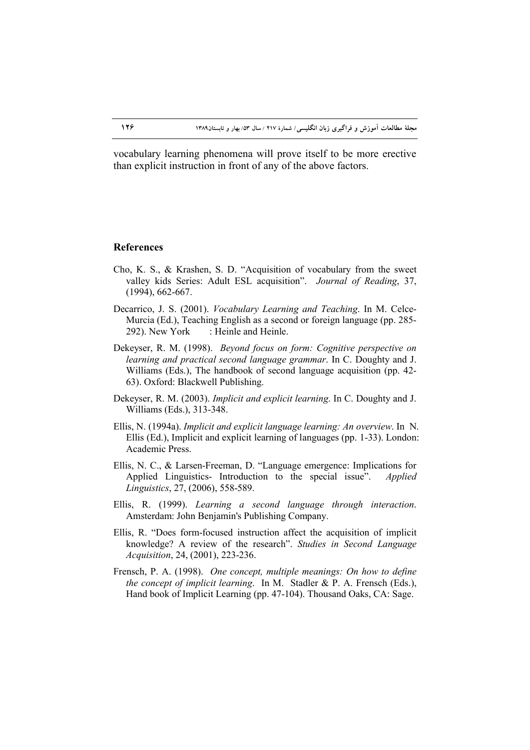vocabulary learning phenomena will prove itself to be more erective than explicit instruction in front of any of the above factors.

## **References**

- Cho, K. S., & Krashen, S. D. "Acquisition of vocabulary from the sweet valley kids Series: Adult ESL acquisition". *Journal of Reading*, 37, (1994), 662-667.
- Decarrico, J. S. (2001). *Vocabulary Learning and Teaching*. In M. Celce-Murcia (Ed.), Teaching English as a second or foreign language (pp. 285- 292). New York : Heinle and Heinle.
- Dekeyser, R. M. (1998). *Beyond focus on form: Cognitive perspective on learning and practical second language grammar*. In C. Doughty and J. Williams (Eds.), The handbook of second language acquisition (pp. 42- 63). Oxford: Blackwell Publishing.
- Dekeyser, R. M. (2003). *Implicit and explicit learning*. In C. Doughty and J. Williams (Eds.), 313-348.
- Ellis, N. (1994a). *Implicit and explicit language learning: An overview*. In N. Ellis (Ed.), Implicit and explicit learning of languages (pp. 1-33). London: Academic Press.
- Ellis, N. C., & Larsen-Freeman, D. "Language emergence: Implications for Applied Linguistics- Introduction to the special issue". *Applied Linguistics*, 27, (2006), 558-589.
- Ellis, R. (1999). *Learning a second language through interaction*. Amsterdam: John Benjamin's Publishing Company.
- Ellis, R. "Does form-focused instruction affect the acquisition of implicit knowledge? A review of the research". *Studies in Second Language Acquisition*, 24, (2001), 223-236.
- Frensch, P. A. (1998). *One concept, multiple meanings: On how to define the concept of implicit learning*. In M. Stadler & P. A. Frensch (Eds.), Hand book of Implicit Learning (pp. 47-104). Thousand Oaks, CA: Sage.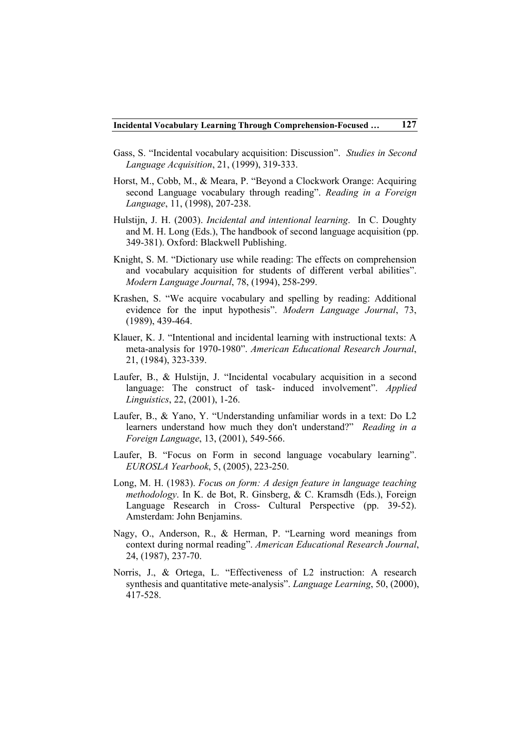- Gass, S. "Incidental vocabulary acquisition: Discussion". *Studies in Second Language Acquisition*, 21, (1999), 319-333.
- Horst, M., Cobb, M., & Meara, P. "Beyond a Clockwork Orange: Acquiring second Language vocabulary through reading". *Reading in a Foreign Language*, 11, (1998), 207-238.
- Hulstijn, J. H. (2003). *Incidental and intentional learning*. In C. Doughty and M. H. Long (Eds.), The handbook of second language acquisition (pp. 349-381). Oxford: Blackwell Publishing.
- Knight, S. M. "Dictionary use while reading: The effects on comprehension and vocabulary acquisition for students of different verbal abilities". *Modern Language Journal*, 78, (1994), 258-299.
- Krashen, S. "We acquire vocabulary and spelling by reading: Additional evidence for the input hypothesis". *Modern Language Journal*, 73, (1989), 439-464.
- Klauer, K. J. "Intentional and incidental learning with instructional texts: A meta-analysis for 1970-1980". *American Educational Research Journal*, 21, (1984), 323-339.
- Laufer, B., & Hulstijn, J. "Incidental vocabulary acquisition in a second language: The construct of task- induced involvement". *Applied Linguistics*, 22, (2001), 1-26.
- Laufer, B., & Yano, Y. "Understanding unfamiliar words in a text: Do L2 learners understand how much they don't understand?" *Reading in a Foreign Language*, 13, (2001), 549-566.
- Laufer, B. "Focus on Form in second language vocabulary learning". *EUROSLA Yearbook*, 5, (2005), 223-250.
- Long, M. H. (1983). *Focu*s *on form: A design feature in language teaching methodology*. In K. de Bot, R. Ginsberg, & C. Kramsdh (Eds.), Foreign Language Research in Cross- Cultural Perspective (pp. 39-52). Amsterdam: John Benjamins.
- Nagy, O., Anderson, R., & Herman, P. "Learning word meanings from context during normal reading". *American Educational Research Journal*, 24, (1987), 237-70.
- Norris, J., & Ortega, L. "Effectiveness of L2 instruction: A research synthesis and quantitative mete-analysis". *Language Learning*, 50, (2000), 417-528.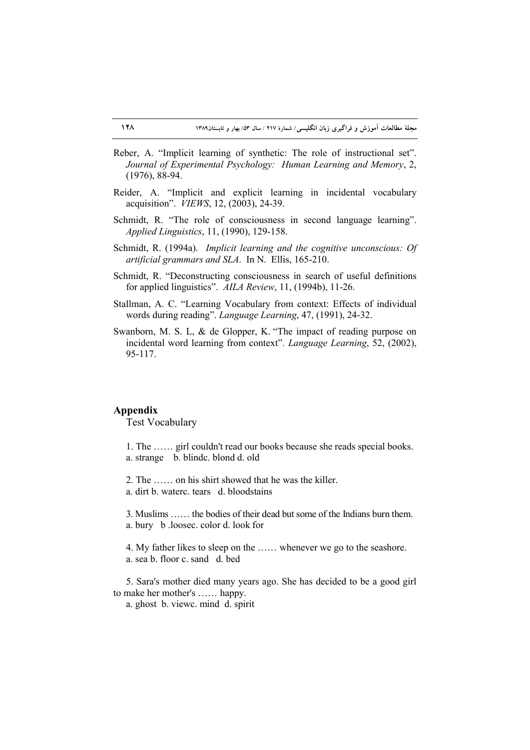- Reber, A. "Implicit learning of synthetic: The role of instructional set". *Journal of Experimental Psychology: Human Learning and Memory*, 2, (1976), 88-94.
- Reider, A. "Implicit and explicit learning in incidental vocabulary acquisition". *VIEWS*, 12, (2003), 24-39.
- Schmidt, R. "The role of consciousness in second language learning". *Applied Linguistics*, 11, (1990), 129-158.
- Schmidt, R. (1994a). *Implicit learning and the cognitive unconscious: Of artificial grammars and SLA*. In N. Ellis, 165-210.
- Schmidt, R. "Deconstructing consciousness in search of useful definitions for applied linguistics". *AILA Review*, 11, (1994b), 11-26.
- Stallman, A. C. "Learning Vocabulary from context: Effects of individual words during reading". *Language Learning*, 47, (1991), 24-32.
- Swanborn, M. S. L, & de Glopper, K. "The impact of reading purpose on incidental word learning from context"*. Language Learning*, 52, (2002), 95-117.

#### **Appendix**

Test Vocabulary

1. The …… girl couldn't read our books because she reads special books. a. strange b. blindc. blond d. old

2. The …… on his shirt showed that he was the killer.

a. dirt b. waterc. tears d. bloodstains

3. Muslims …… the bodies of their dead but some of the Indians burn them. a. bury b .loosec. color d. look for

4. My father likes to sleep on the …… whenever we go to the seashore. a. sea b. floor c. sand d. bed

5. Sara's mother died many years ago. She has decided to be a good girl to make her mother's …… happy.

a. ghost b. viewc. mind d. spirit